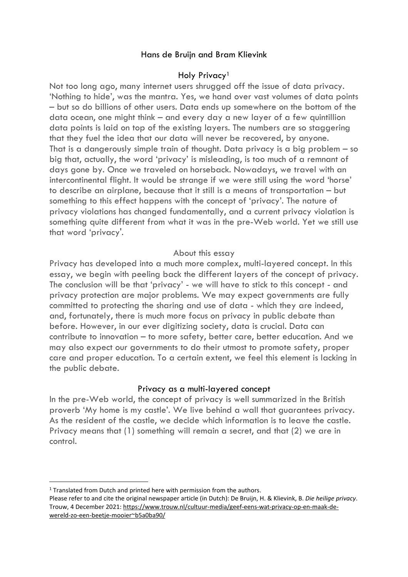# Hans de Bruijn and Bram Klievink

## Holy Privacy<sup>1</sup>

Not too long ago, many internet users shrugged off the issue of data privacy. 'Nothing to hide', was the mantra. Yes, we hand over vast volumes of data points – but so do billions of other users. Data ends up somewhere on the bottom of the data ocean, one might think – and every day a new layer of a few quintillion data points is laid on top of the existing layers. The numbers are so staggering that they fuel the idea that our data will never be recovered, by anyone. That is a dangerously simple train of thought. Data privacy is a big problem – so big that, actually, the word 'privacy' is misleading, is too much of a remnant of days gone by. Once we traveled on horseback. Nowadays, we travel with an intercontinental flight. It would be strange if we were still using the word 'horse' to describe an airplane, because that it still is a means of transportation – but something to this effect happens with the concept of 'privacy'. The nature of privacy violations has changed fundamentally, and a current privacy violation is something quite different from what it was in the pre-Web world. Yet we still use that word 'privacy'.

#### About this essay

Privacy has developed into a much more complex, multi-layered concept. In this essay, we begin with peeling back the different layers of the concept of privacy. The conclusion will be that 'privacy' - we will have to stick to this concept - and privacy protection are major problems. We may expect governments are fully committed to protecting the sharing and use of data - which they are indeed, and, fortunately, there is much more focus on privacy in public debate than before. However, in our ever digitizing society, data is crucial. Data can contribute to innovation – to more safety, better care, better education. And we may also expect our governments to do their utmost to promote safety, proper care and proper education. To a certain extent, we feel this element is lacking in the public debate.

#### Privacy as a multi-layered concept

In the pre-Web world, the concept of privacy is well summarized in the British proverb 'My home is my castle'. We live behind a wall that guarantees privacy. As the resident of the castle, we decide which information is to leave the castle. Privacy means that (1) something will remain a secret, and that (2) we are in control.

<sup>&</sup>lt;sup>1</sup> Translated from Dutch and printed here with permission from the authors.

Please refer to and cite the original newspaper article (in Dutch): De Bruijn, H. & Klievink, B. *Die heilige privacy*. Trouw, 4 December 2021: [https://www.trouw.nl/cultuur-media/geef-eens-wat-privacy-op-en-maak-de](https://www.trouw.nl/cultuur-media/geef-eens-wat-privacy-op-en-maak-de-wereld-zo-een-beetje-mooier~b5a0ba90/)[wereld-zo-een-beetje-mooier~b5a0ba90/](https://www.trouw.nl/cultuur-media/geef-eens-wat-privacy-op-en-maak-de-wereld-zo-een-beetje-mooier~b5a0ba90/)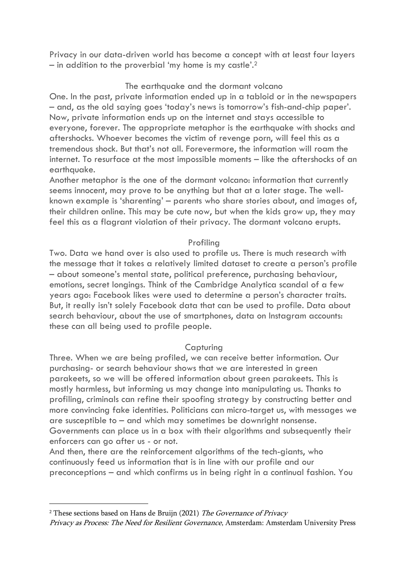Privacy in our data-driven world has become a concept with at least four layers  $-$  in addition to the proverbial 'my home is my castle'.<sup>2</sup>

# The earthquake and the dormant volcano

One. In the past, private information ended up in a tabloid or in the newspapers – and, as the old saying goes 'today's news is tomorrow's fish-and-chip paper'. Now, private information ends up on the internet and stays accessible to everyone, forever. The appropriate metaphor is the earthquake with shocks and aftershocks. Whoever becomes the victim of revenge porn, will feel this as a tremendous shock. But that's not all. Forevermore, the information will roam the internet. To resurface at the most impossible moments – like the aftershocks of an earthquake.

Another metaphor is the one of the dormant volcano: information that currently seems innocent, may prove to be anything but that at a later stage. The wellknown example is 'sharenting' – parents who share stories about, and images of, their children online. This may be cute now, but when the kids grow up, they may feel this as a flagrant violation of their privacy. The dormant volcano erupts.

# Profiling

Two. Data we hand over is also used to profile us. There is much research with the message that it takes a relatively limited dataset to create a person's profile – about someone's mental state, political preference, purchasing behaviour, emotions, secret longings. Think of the Cambridge Analytica scandal of a few years ago: Facebook likes were used to determine a person's character traits. But, it really isn't solely Facebook data that can be used to profile. Data about search behaviour, about the use of smartphones, data on Instagram accounts: these can all being used to profile people.

## Capturing

Three. When we are being profiled, we can receive better information. Our purchasing- or search behaviour shows that we are interested in green parakeets, so we will be offered information about green parakeets. This is mostly harmless, but informing us may change into manipulating us. Thanks to profiling, criminals can refine their spoofing strategy by constructing better and more convincing fake identities. Politicians can micro-target us, with messages we are susceptible to – and which may sometimes be downright nonsense. Governments can place us in a box with their algorithms and subsequently their enforcers can go after us - or not.

And then, there are the reinforcement algorithms of the tech-giants, who continuously feed us information that is in line with our profile and our preconceptions – and which confirms us in being right in a continual fashion. You

<sup>&</sup>lt;sup>2</sup> These sections based on Hans de Bruijn (2021) The Governance of Privacy

Privacy as Process: The Need for Resilient Governance, Amsterdam: Amsterdam University Press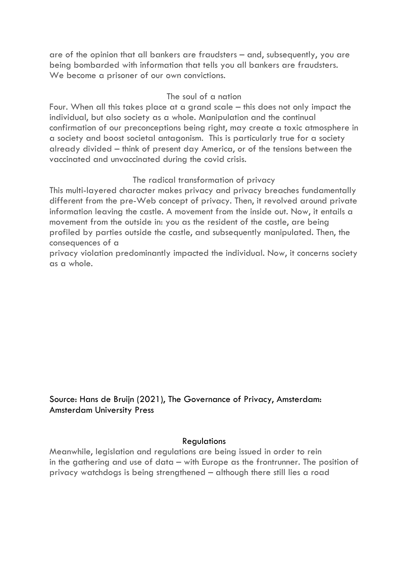are of the opinion that all bankers are fraudsters – and, subsequently, you are being bombarded with information that tells you all bankers are fraudsters. We become a prisoner of our own convictions.

## The soul of a nation

Four. When all this takes place at a grand scale – this does not only impact the individual, but also society as a whole. Manipulation and the continual confirmation of our preconceptions being right, may create a toxic atmosphere in a society and boost societal antagonism. This is particularly true for a society already divided – think of present day America, or of the tensions between the vaccinated and unvaccinated during the covid crisis.

## The radical transformation of privacy

This multi-layered character makes privacy and privacy breaches fundamentally different from the pre-Web concept of privacy. Then, it revolved around private information leaving the castle. A movement from the inside out. Now, it entails a movement from the outside in: you as the resident of the castle, are being profiled by parties outside the castle, and subsequently manipulated. Then, the consequences of a

privacy violation predominantly impacted the individual. Now, it concerns society as a whole.

Source: Hans de Bruijn (2021), The Governance of Privacy, Amsterdam: Amsterdam University Press

#### **Regulations**

Meanwhile, legislation and regulations are being issued in order to rein in the gathering and use of data – with Europe as the frontrunner. The position of privacy watchdogs is being strengthened – although there still lies a road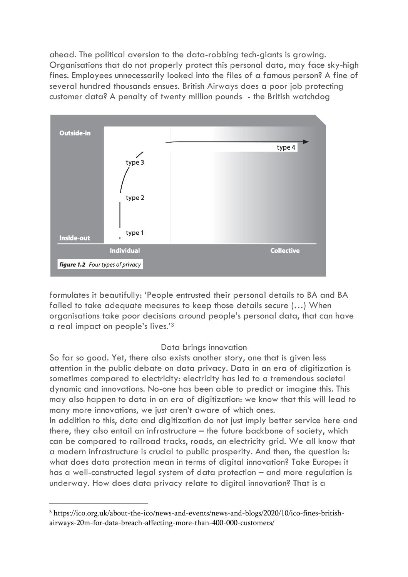ahead. The political aversion to the data-robbing tech-giants is growing. Organisations that do not properly protect this personal data, may face sky-high fines. Employees unnecessarily looked into the files of a famous person? A fine of several hundred thousands ensues. British Airways does a poor job protecting customer data? A penalty of twenty million pounds - the British watchdog



formulates it beautifully: 'People entrusted their personal details to BA and BA failed to take adequate measures to keep those details secure (…) When organisations take poor decisions around people's personal data, that can have a real impact on people's lives.'<sup>3</sup>

# Data brings innovation

So far so good. Yet, there also exists another story, one that is given less attention in the public debate on data privacy. Data in an era of digitization is sometimes compared to electricity: electricity has led to a tremendous societal dynamic and innovations. No-one has been able to predict or imagine this. This may also happen to data in an era of digitization: we know that this will lead to many more innovations, we just aren't aware of which ones.

In addition to this, data and digitization do not just imply better service here and there, they also entail an infrastructure – the future backbone of society, which can be compared to railroad tracks, roads, an electricity grid. We all know that a modern infrastructure is crucial to public prosperity. And then, the question is: what does data protection mean in terms of digital innovation? Take Europe: it has a well-constructed legal system of data protection – and more regulation is underway. How does data privacy relate to digital innovation? That is a

<sup>3</sup> https://ico.org.uk/about-the-ico/news-and-events/news-and-blogs/2020/10/ico-fines-britishairways-20m-for-data-breach-affecting-more-than-400-000-customers/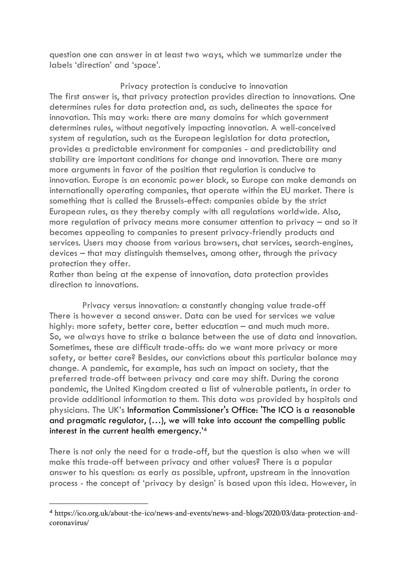question one can answer in at least two ways, which we summarize under the labels 'direction' and 'space'.

Privacy protection is conducive to innovation The first answer is, that privacy protection provides direction to innovations. One determines rules for data protection and, as such, delineates the space for innovation. This may work: there are many domains for which government determines rules, without negatively impacting innovation. A well-conceived system of regulation, such as the European legislation for data protection, provides a predictable environment for companies - and predictability and stability are important conditions for change and innovation. There are many more arguments in favor of the position that regulation is conducive to innovation. Europe is an economic power block, so Europe can make demands on internationally operating companies, that operate within the EU market. There is something that is called the Brussels-effect: companies abide by the strict European rules, as they thereby comply with all regulations worldwide. Also, more regulation of privacy means more consumer attention to privacy – and so it becomes appealing to companies to present privacy-friendly products and services. Users may choose from various browsers, chat services, search-engines, devices – that may distinguish themselves, among other, through the privacy protection they offer.

Rather than being at the expense of innovation, data protection provides direction to innovations.

Privacy versus innovation: a constantly changing value trade-off There is however a second answer. Data can be used for services we value highly: more safety, better care, better education – and much much more. So, we always have to strike a balance between the use of data and innovation. Sometimes, these are difficult trade-offs: do we want more privacy or more safety, or better care? Besides, our convictions about this particular balance may change. A pandemic, for example, has such an impact on society, that the preferred trade-off between privacy and care may shift. During the corona pandemic, the United Kingdom created a list of vulnerable patients, in order to provide additional information to them. This data was provided by hospitals and physicians. The UK's Information Commissioner's Office: 'The ICO is a reasonable and pragmatic regulator, (…), we will take into account the compelling public interest in the current health emergency.' 4

There is not only the need for a trade-off, but the question is also when we will make this trade-off between privacy and other values? There is a popular answer to his question: as early as possible, upfront, upstream in the innovation process - the concept of 'privacy by design' is based upon this idea. However, in

<sup>4</sup> https://ico.org.uk/about-the-ico/news-and-events/news-and-blogs/2020/03/data-protection-andcoronavirus/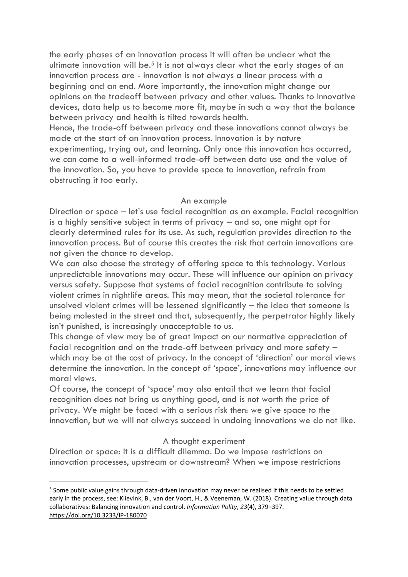the early phases of an innovation process it will often be unclear what the ultimate innovation will be.<sup>5</sup> It is not always clear what the early stages of an innovation process are - innovation is not always a linear process with a beginning and an end. More importantly, the innovation might change our opinions on the tradeoff between privacy and other values. Thanks to innovative devices, data help us to become more fit, maybe in such a way that the balance between privacy and health is tilted towards health.

Hence, the trade-off between privacy and these innovations cannot always be made at the start of an innovation process. Innovation is by nature experimenting, trying out, and learning. Only once this innovation has occurred, we can come to a well-informed trade-off between data use and the value of the innovation. So, you have to provide space to innovation, refrain from obstructing it too early.

## An example

Direction or space – let's use facial recognition as an example. Facial recognition is a highly sensitive subject in terms of privacy – and so, one might opt for clearly determined rules for its use. As such, regulation provides direction to the innovation process. But of course this creates the risk that certain innovations are not given the chance to develop.

We can also choose the strategy of offering space to this technology. Various unpredictable innovations may occur. These will influence our opinion on privacy versus safety. Suppose that systems of facial recognition contribute to solving violent crimes in nightlife areas. This may mean, that the societal tolerance for unsolved violent crimes will be lessened significantly – the idea that someone is being molested in the street and that, subsequently, the perpetrator highly likely isn't punished, is increasingly unacceptable to us.

This change of view may be of great impact on our normative appreciation of facial recognition and on the trade-off between privacy and more safety – which may be at the cost of privacy. In the concept of 'direction' our moral views determine the innovation. In the concept of 'space', innovations may influence our moral views.

Of course, the concept of 'space' may also entail that we learn that facial recognition does not bring us anything good, and is not worth the price of privacy. We might be faced with a serious risk then: we give space to the innovation, but we will not always succeed in undoing innovations we do not like.

# A thought experiment

Direction or space: it is a difficult dilemma. Do we impose restrictions on innovation processes, upstream or downstream? When we impose restrictions

<sup>&</sup>lt;sup>5</sup> Some public value gains through data-driven innovation may never be realised if this needs to be settled early in the process, see: Klievink, B., van der Voort, H., & Veeneman, W. (2018). Creating value through data collaboratives: Balancing innovation and control. *Information Polity*, *23*(4), 379–397. <https://doi.org/10.3233/IP-180070>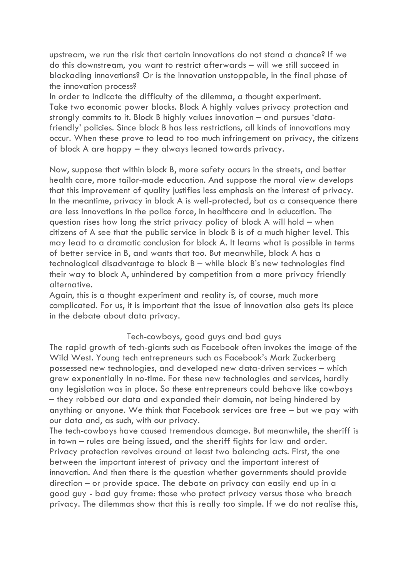upstream, we run the risk that certain innovations do not stand a chance? If we do this downstream, you want to restrict afterwards – will we still succeed in blockading innovations? Or is the innovation unstoppable, in the final phase of the innovation process?

In order to indicate the difficulty of the dilemma, a thought experiment. Take two economic power blocks. Block A highly values privacy protection and strongly commits to it. Block B highly values innovation – and pursues 'datafriendly' policies. Since block B has less restrictions, all kinds of innovations may occur. When these prove to lead to too much infringement on privacy, the citizens of block A are happy – they always leaned towards privacy.

Now, suppose that within block B, more safety occurs in the streets, and better health care, more tailor-made education. And suppose the moral view develops that this improvement of quality justifies less emphasis on the interest of privacy. In the meantime, privacy in block A is well-protected, but as a consequence there are less innovations in the police force, in healthcare and in education. The question rises how long the strict privacy policy of block A will hold – when citizens of A see that the public service in block B is of a much higher level. This may lead to a dramatic conclusion for block A. It learns what is possible in terms of better service in B, and wants that too. But meanwhile, block A has a technological disadvantage to block B – while block B's new technologies find their way to block A, unhindered by competition from a more privacy friendly alternative.

Again, this is a thought experiment and reality is, of course, much more complicated. For us, it is important that the issue of innovation also gets its place in the debate about data privacy.

#### Tech-cowboys, good guys and bad guys

The rapid growth of tech-giants such as Facebook often invokes the image of the Wild West. Young tech entrepreneurs such as Facebook's Mark Zuckerberg possessed new technologies, and developed new data-driven services – which grew exponentially in no-time. For these new technologies and services, hardly any legislation was in place. So these entrepreneurs could behave like cowboys – they robbed our data and expanded their domain, not being hindered by anything or anyone. We think that Facebook services are free – but we pay with our data and, as such, with our privacy.

The tech-cowboys have caused tremendous damage. But meanwhile, the sheriff is in town – rules are being issued, and the sheriff fights for law and order. Privacy protection revolves around at least two balancing acts. First, the one between the important interest of privacy and the important interest of innovation. And then there is the question whether governments should provide direction – or provide space. The debate on privacy can easily end up in a good guy - bad guy frame: those who protect privacy versus those who breach privacy. The dilemmas show that this is really too simple. If we do not realise this,